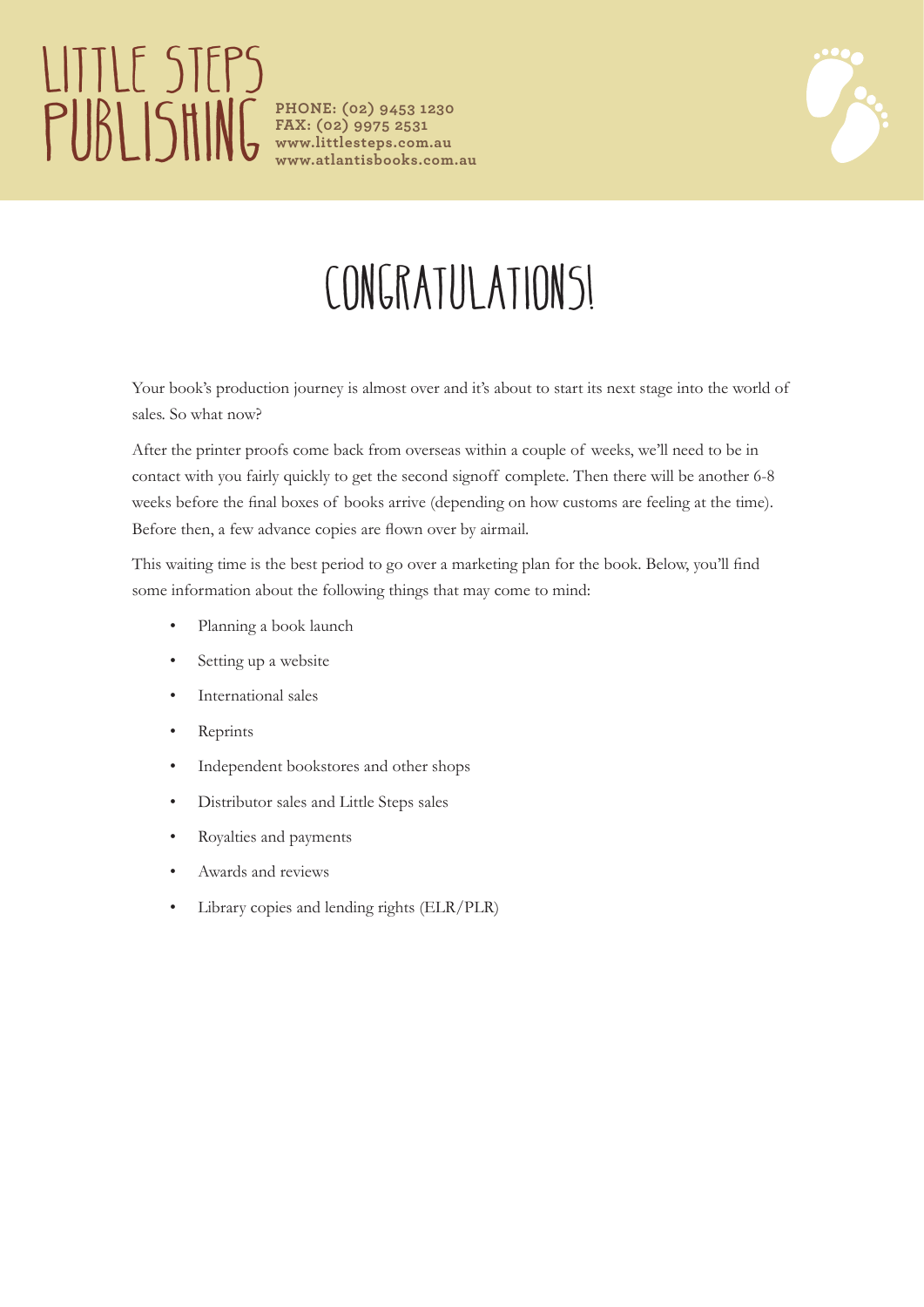# LITTLE STEPS **PUBLISHING** PHONE: (02) 9453 1230

**FAX: (02) 9975 2531 www.littlesteps.com.au www.atlantisbooks.com.au**



## CONGRATULATIONS!

Your book's production journey is almost over and it's about to start its next stage into the world of sales. So what now?

After the printer proofs come back from overseas within a couple of weeks, we'll need to be in contact with you fairly quickly to get the second signoff complete. Then there will be another 6-8 weeks before the final boxes of books arrive (depending on how customs are feeling at the time). Before then, a few advance copies are flown over by airmail.

This waiting time is the best period to go over a marketing plan for the book. Below, you'll find some information about the following things that may come to mind:

- Planning a book launch
- Setting up a website
- International sales
- **Reprints**
- Independent bookstores and other shops
- Distributor sales and Little Steps sales
- Royalties and payments
- Awards and reviews
- Library copies and lending rights (ELR/PLR)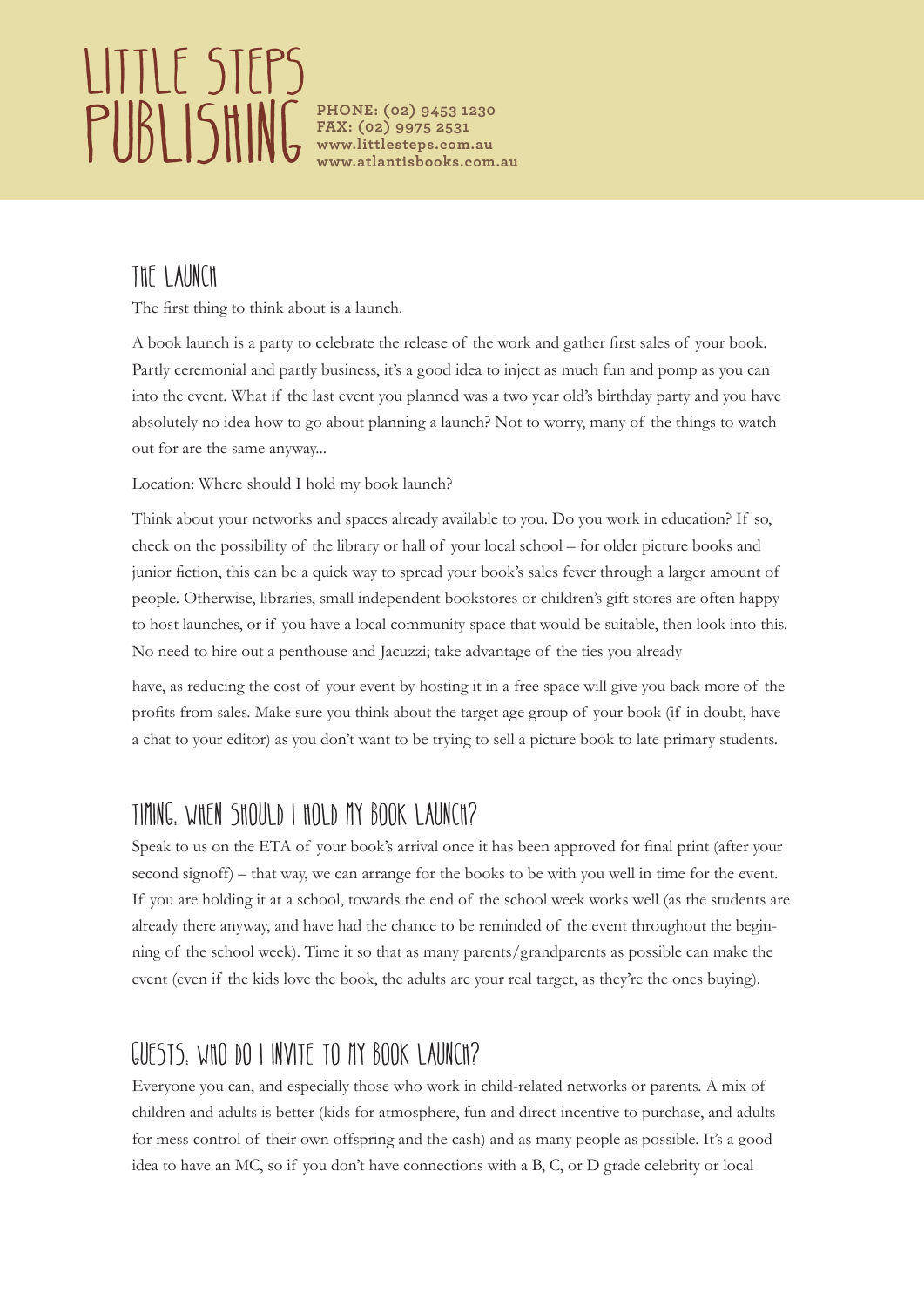# LITTLE STEPS **PUBLISHING** PHONE: (02) 9453 1230

**FAX: (02) 9975 2531 www.littlesteps.com.au www.atlantisbooks.com.au**

#### THE LAUNCH

The first thing to think about is a launch.

A book launch is a party to celebrate the release of the work and gather first sales of your book. Partly ceremonial and partly business, it's a good idea to inject as much fun and pomp as you can into the event. What if the last event you planned was a two year old's birthday party and you have absolutely no idea how to go about planning a launch? Not to worry, many of the things to watch out for are the same anyway...

Location: Where should I hold my book launch?

Think about your networks and spaces already available to you. Do you work in education? If so, check on the possibility of the library or hall of your local school – for older picture books and junior fiction, this can be a quick way to spread your book's sales fever through a larger amount of people. Otherwise, libraries, small independent bookstores or children's gift stores are often happy to host launches, or if you have a local community space that would be suitable, then look into this. No need to hire out a penthouse and Jacuzzi; take advantage of the ties you already

have, as reducing the cost of your event by hosting it in a free space will give you back more of the profits from sales. Make sure you think about the target age group of your book (if in doubt, have a chat to your editor) as you don't want to be trying to sell a picture book to late primary students.

### Timing: When should I hold my book launch?

Speak to us on the ETA of your book's arrival once it has been approved for final print (after your second signoff) – that way, we can arrange for the books to be with you well in time for the event. If you are holding it at a school, towards the end of the school week works well (as the students are already there anyway, and have had the chance to be reminded of the event throughout the beginning of the school week). Time it so that as many parents/grandparents as possible can make the event (even if the kids love the book, the adults are your real target, as they're the ones buying).

### GUESTS. WHO DO I INVITE TO MY BOOK LAUNCH?

Everyone you can, and especially those who work in child-related networks or parents. A mix of children and adults is better (kids for atmosphere, fun and direct incentive to purchase, and adults for mess control of their own offspring and the cash) and as many people as possible. It's a good idea to have an MC, so if you don't have connections with a B, C, or D grade celebrity or local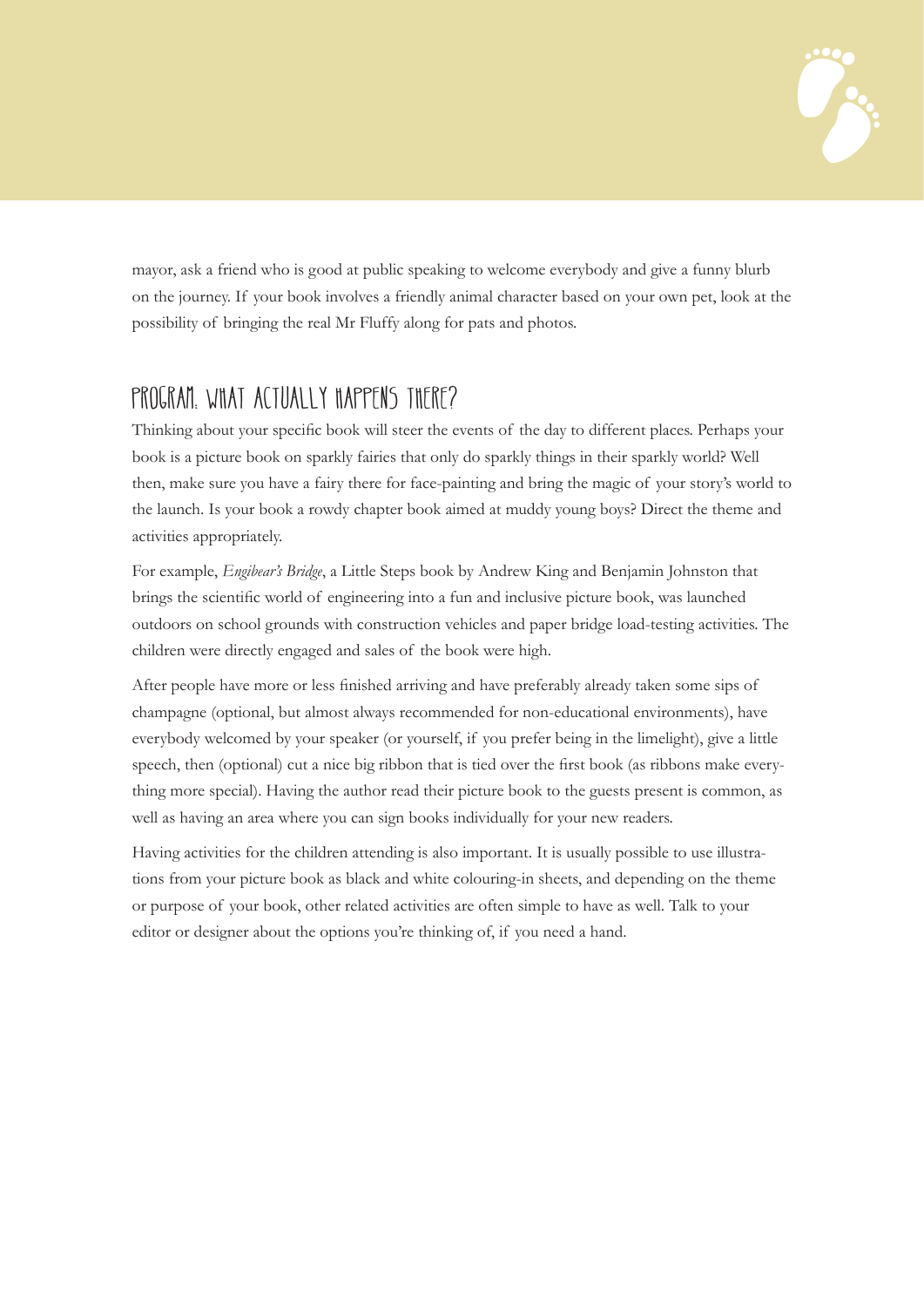

mayor, ask a friend who is good at public speaking to welcome everybody and give a funny blurb on the journey. If your book involves a friendly animal character based on your own pet, look at the possibility of bringing the real Mr Fluffy along for pats and photos.

### PROGRAM: WHAT ACTUALLY HAPPENS THERE?

Thinking about your specific book will steer the events of the day to different places. Perhaps your book is a picture book on sparkly fairies that only do sparkly things in their sparkly world? Well then, make sure you have a fairy there for face-painting and bring the magic of your story's world to the launch. Is your book a rowdy chapter book aimed at muddy young boys? Direct the theme and activities appropriately.

For example, *Engibear's Bridge*, a Little Steps book by Andrew King and Benjamin Johnston that brings the scientific world of engineering into a fun and inclusive picture book, was launched outdoors on school grounds with construction vehicles and paper bridge load-testing activities. The children were directly engaged and sales of the book were high.

After people have more or less finished arriving and have preferably already taken some sips of champagne (optional, but almost always recommended for non-educational environments), have everybody welcomed by your speaker (or yourself, if you prefer being in the limelight), give a little speech, then (optional) cut a nice big ribbon that is tied over the first book (as ribbons make everything more special). Having the author read their picture book to the guests present is common, as well as having an area where you can sign books individually for your new readers.

Having activities for the children attending is also important. It is usually possible to use illustrations from your picture book as black and white colouring-in sheets, and depending on the theme or purpose of your book, other related activities are often simple to have as well. Talk to your editor or designer about the options you're thinking of, if you need a hand.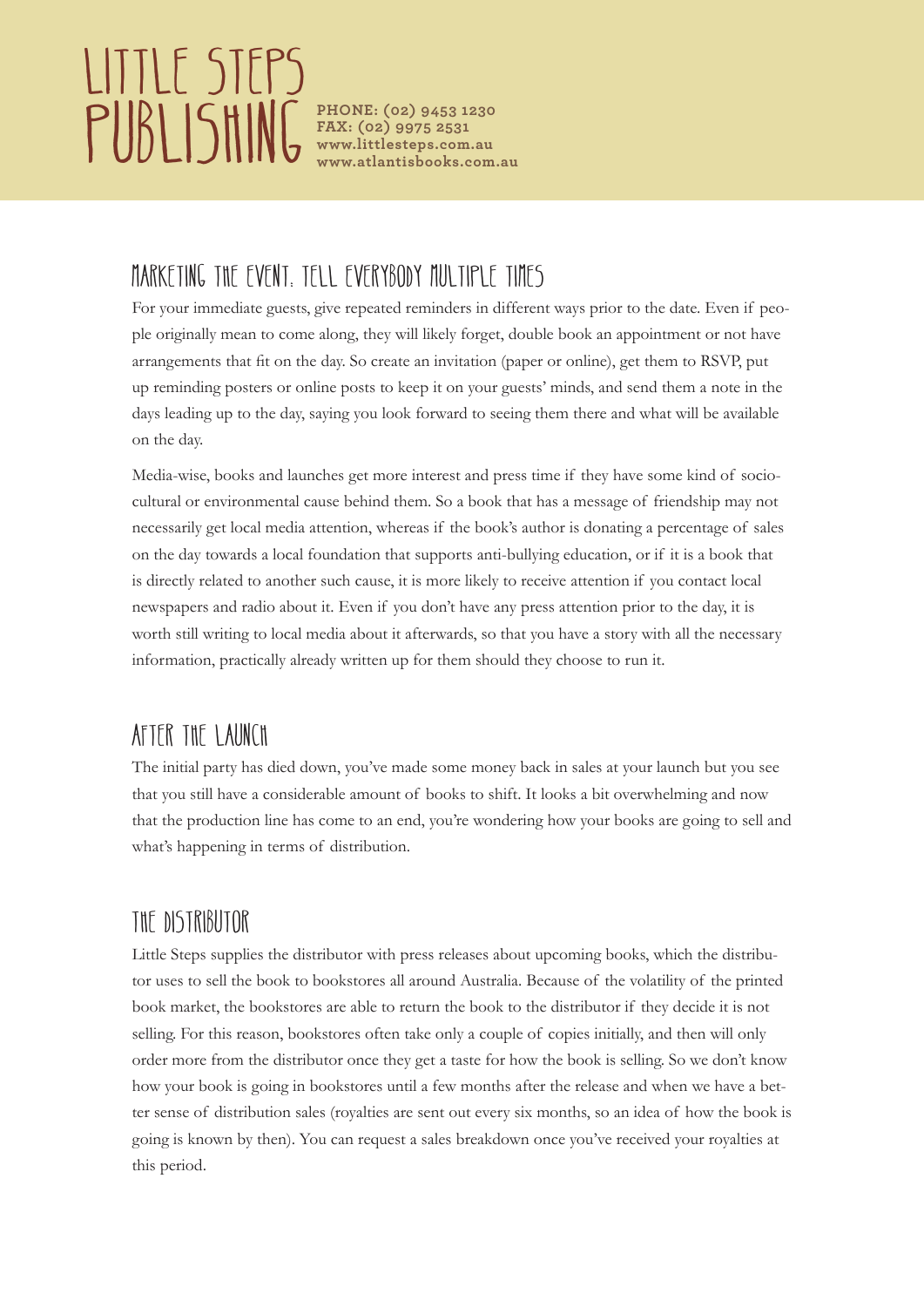# Little Steps **PUBLISHING** PHONE: (02) 9453 1230

**FAX: (02) 9975 2531 www.littlesteps.com.au www.atlantisbooks.com.au**

## Marketing the event: Tell everybody multiple times

For your immediate guests, give repeated reminders in different ways prior to the date. Even if people originally mean to come along, they will likely forget, double book an appointment or not have arrangements that fit on the day. So create an invitation (paper or online), get them to RSVP, put up reminding posters or online posts to keep it on your guests' minds, and send them a note in the days leading up to the day, saying you look forward to seeing them there and what will be available on the day.

Media-wise, books and launches get more interest and press time if they have some kind of sociocultural or environmental cause behind them. So a book that has a message of friendship may not necessarily get local media attention, whereas if the book's author is donating a percentage of sales on the day towards a local foundation that supports anti-bullying education, or if it is a book that is directly related to another such cause, it is more likely to receive attention if you contact local newspapers and radio about it. Even if you don't have any press attention prior to the day, it is worth still writing to local media about it afterwards, so that you have a story with all the necessary information, practically already written up for them should they choose to run it.

#### AFTER THE LAUNCH

The initial party has died down, you've made some money back in sales at your launch but you see that you still have a considerable amount of books to shift. It looks a bit overwhelming and now that the production line has come to an end, you're wondering how your books are going to sell and what's happening in terms of distribution.

### The Distributor

Little Steps supplies the distributor with press releases about upcoming books, which the distributor uses to sell the book to bookstores all around Australia. Because of the volatility of the printed book market, the bookstores are able to return the book to the distributor if they decide it is not selling. For this reason, bookstores often take only a couple of copies initially, and then will only order more from the distributor once they get a taste for how the book is selling. So we don't know how your book is going in bookstores until a few months after the release and when we have a better sense of distribution sales (royalties are sent out every six months, so an idea of how the book is going is known by then). You can request a sales breakdown once you've received your royalties at this period.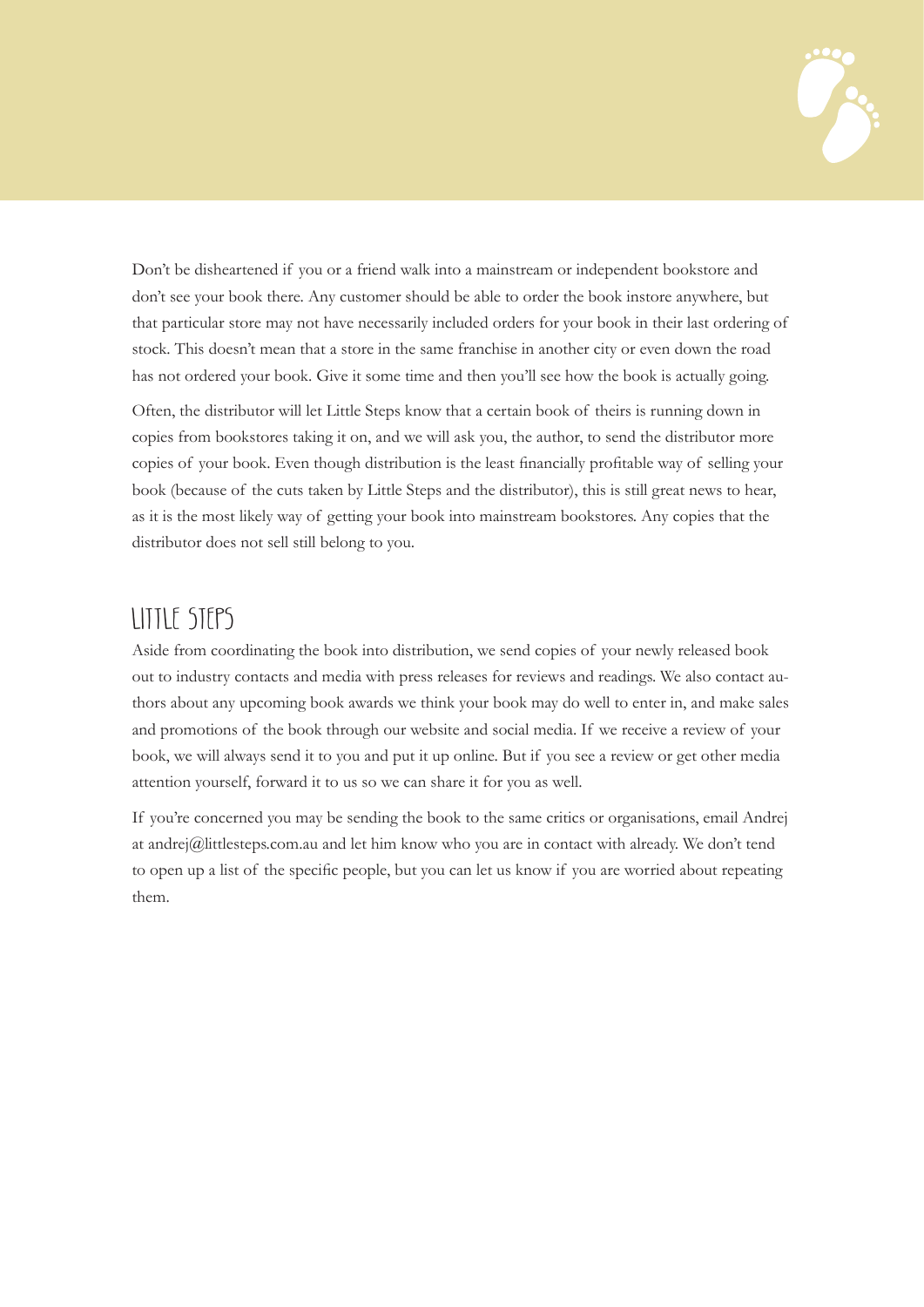

Don't be disheartened if you or a friend walk into a mainstream or independent bookstore and don't see your book there. Any customer should be able to order the book instore anywhere, but that particular store may not have necessarily included orders for your book in their last ordering of stock. This doesn't mean that a store in the same franchise in another city or even down the road has not ordered your book. Give it some time and then you'll see how the book is actually going.

Often, the distributor will let Little Steps know that a certain book of theirs is running down in copies from bookstores taking it on, and we will ask you, the author, to send the distributor more copies of your book. Even though distribution is the least financially profitable way of selling your book (because of the cuts taken by Little Steps and the distributor), this is still great news to hear, as it is the most likely way of getting your book into mainstream bookstores. Any copies that the distributor does not sell still belong to you.

#### Little Steps

Aside from coordinating the book into distribution, we send copies of your newly released book out to industry contacts and media with press releases for reviews and readings. We also contact authors about any upcoming book awards we think your book may do well to enter in, and make sales and promotions of the book through our website and social media. If we receive a review of your book, we will always send it to you and put it up online. But if you see a review or get other media attention yourself, forward it to us so we can share it for you as well.

If you're concerned you may be sending the book to the same critics or organisations, email Andrej at andrej@littlesteps.com.au and let him know who you are in contact with already. We don't tend to open up a list of the specific people, but you can let us know if you are worried about repeating them.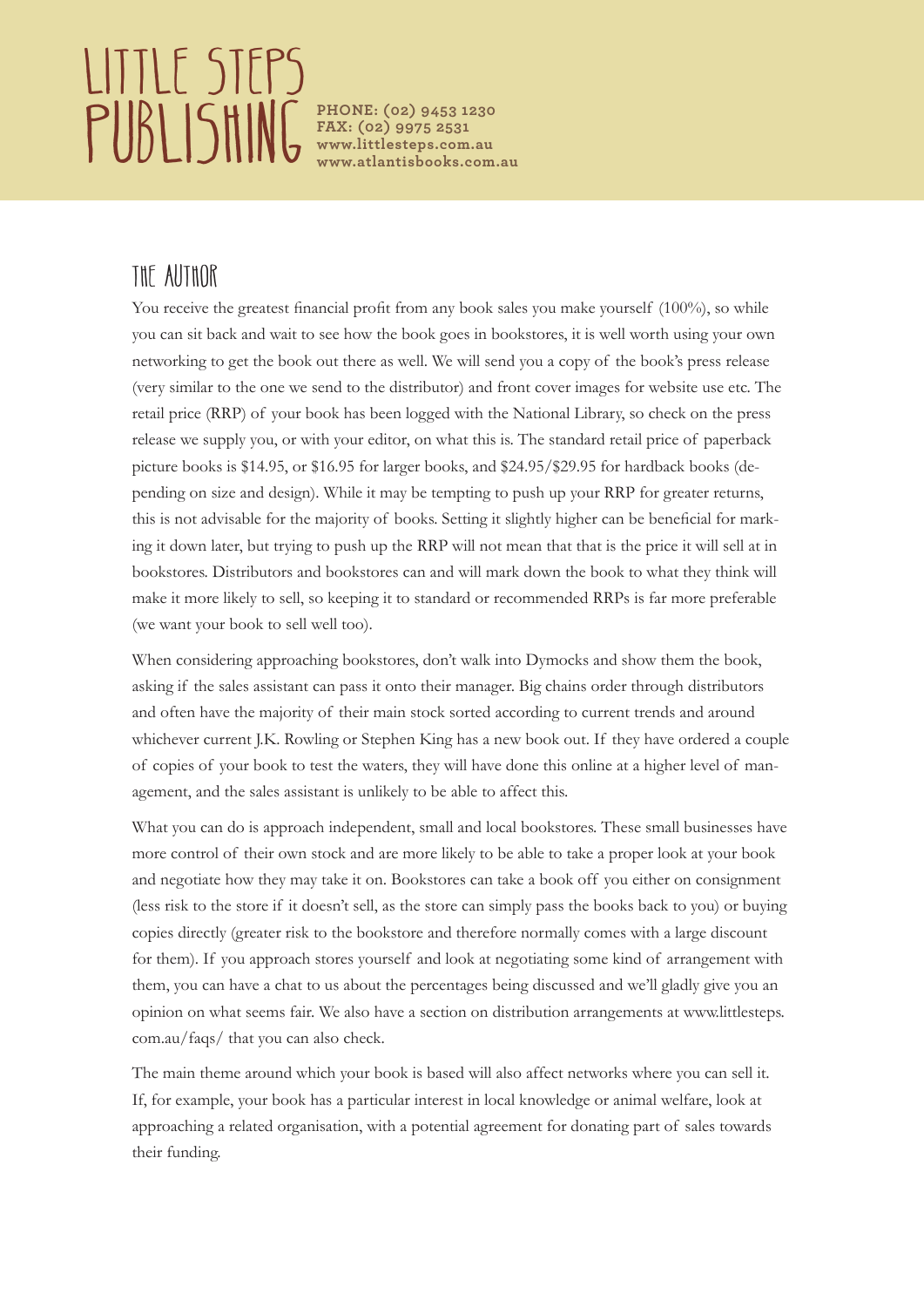# LITTLE STEPS **PUBLISHING** PHONE: (02) 9453 1230

**FAX: (02) 9975 2531 www.littlesteps.com.au www.atlantisbooks.com.au**

### The Author

You receive the greatest financial profit from any book sales you make yourself (100%), so while you can sit back and wait to see how the book goes in bookstores, it is well worth using your own networking to get the book out there as well. We will send you a copy of the book's press release (very similar to the one we send to the distributor) and front cover images for website use etc. The retail price (RRP) of your book has been logged with the National Library, so check on the press release we supply you, or with your editor, on what this is. The standard retail price of paperback picture books is \$14.95, or \$16.95 for larger books, and \$24.95/\$29.95 for hardback books (depending on size and design). While it may be tempting to push up your RRP for greater returns, this is not advisable for the majority of books. Setting it slightly higher can be beneficial for marking it down later, but trying to push up the RRP will not mean that that is the price it will sell at in bookstores. Distributors and bookstores can and will mark down the book to what they think will make it more likely to sell, so keeping it to standard or recommended RRPs is far more preferable (we want your book to sell well too).

When considering approaching bookstores, don't walk into Dymocks and show them the book, asking if the sales assistant can pass it onto their manager. Big chains order through distributors and often have the majority of their main stock sorted according to current trends and around whichever current J.K. Rowling or Stephen King has a new book out. If they have ordered a couple of copies of your book to test the waters, they will have done this online at a higher level of management, and the sales assistant is unlikely to be able to affect this.

What you can do is approach independent, small and local bookstores. These small businesses have more control of their own stock and are more likely to be able to take a proper look at your book and negotiate how they may take it on. Bookstores can take a book off you either on consignment (less risk to the store if it doesn't sell, as the store can simply pass the books back to you) or buying copies directly (greater risk to the bookstore and therefore normally comes with a large discount for them). If you approach stores yourself and look at negotiating some kind of arrangement with them, you can have a chat to us about the percentages being discussed and we'll gladly give you an opinion on what seems fair. We also have a section on distribution arrangements at www.littlesteps. com.au/faqs/ that you can also check.

The main theme around which your book is based will also affect networks where you can sell it. If, for example, your book has a particular interest in local knowledge or animal welfare, look at approaching a related organisation, with a potential agreement for donating part of sales towards their funding.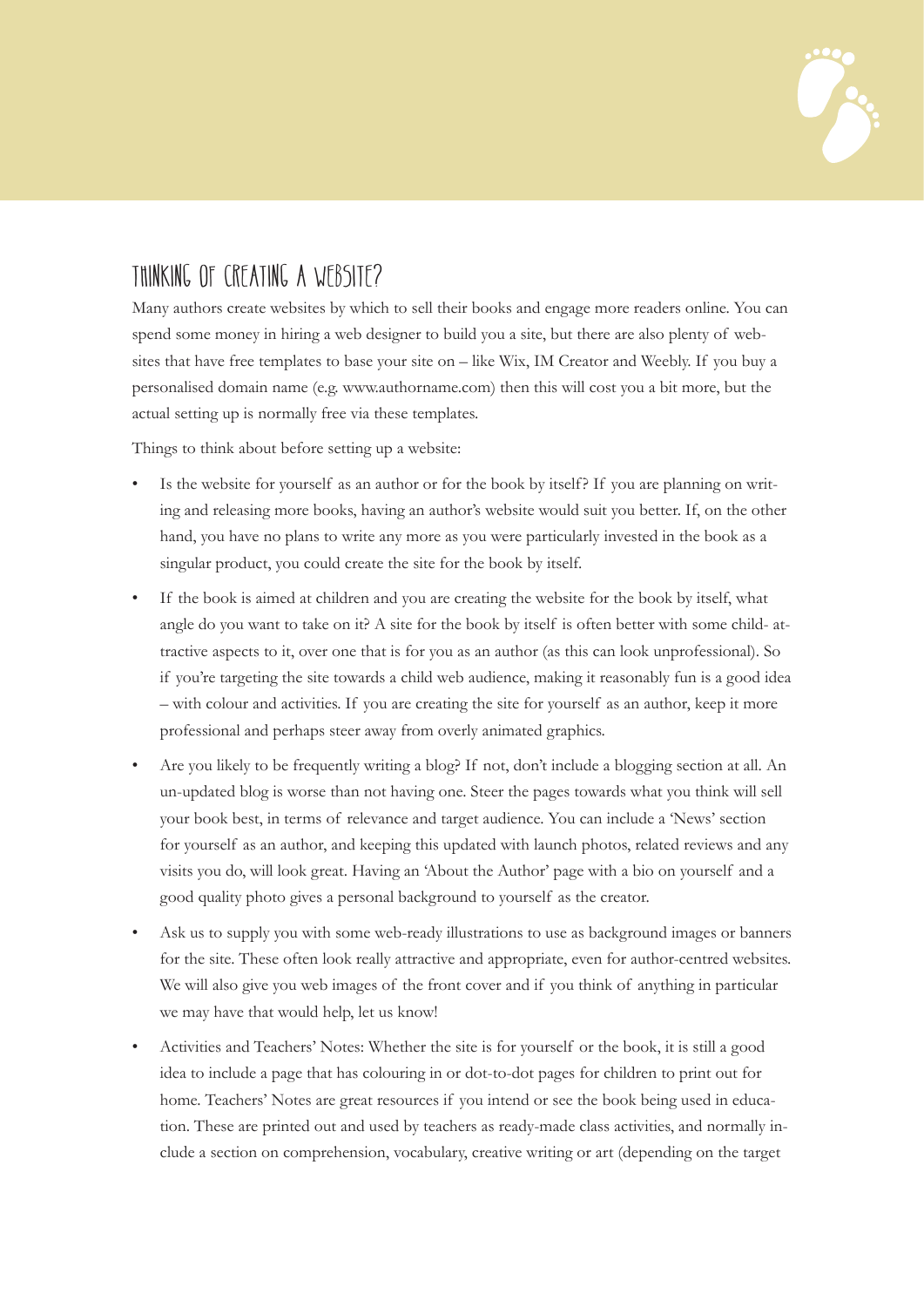

### Thinking of creating a website?

Many authors create websites by which to sell their books and engage more readers online. You can spend some money in hiring a web designer to build you a site, but there are also plenty of websites that have free templates to base your site on – like Wix, IM Creator and Weebly. If you buy a personalised domain name (e.g. www.authorname.com) then this will cost you a bit more, but the actual setting up is normally free via these templates.

Things to think about before setting up a website:

- Is the website for yourself as an author or for the book by itself? If you are planning on writing and releasing more books, having an author's website would suit you better. If, on the other hand, you have no plans to write any more as you were particularly invested in the book as a singular product, you could create the site for the book by itself.
- If the book is aimed at children and you are creating the website for the book by itself, what angle do you want to take on it? A site for the book by itself is often better with some child- attractive aspects to it, over one that is for you as an author (as this can look unprofessional). So if you're targeting the site towards a child web audience, making it reasonably fun is a good idea – with colour and activities. If you are creating the site for yourself as an author, keep it more professional and perhaps steer away from overly animated graphics.
- Are you likely to be frequently writing a blog? If not, don't include a blogging section at all. An un-updated blog is worse than not having one. Steer the pages towards what you think will sell your book best, in terms of relevance and target audience. You can include a 'News' section for yourself as an author, and keeping this updated with launch photos, related reviews and any visits you do, will look great. Having an 'About the Author' page with a bio on yourself and a good quality photo gives a personal background to yourself as the creator.
- Ask us to supply you with some web-ready illustrations to use as background images or banners for the site. These often look really attractive and appropriate, even for author-centred websites. We will also give you web images of the front cover and if you think of anything in particular we may have that would help, let us know!
- Activities and Teachers' Notes: Whether the site is for yourself or the book, it is still a good idea to include a page that has colouring in or dot-to-dot pages for children to print out for home. Teachers' Notes are great resources if you intend or see the book being used in education. These are printed out and used by teachers as ready-made class activities, and normally include a section on comprehension, vocabulary, creative writing or art (depending on the target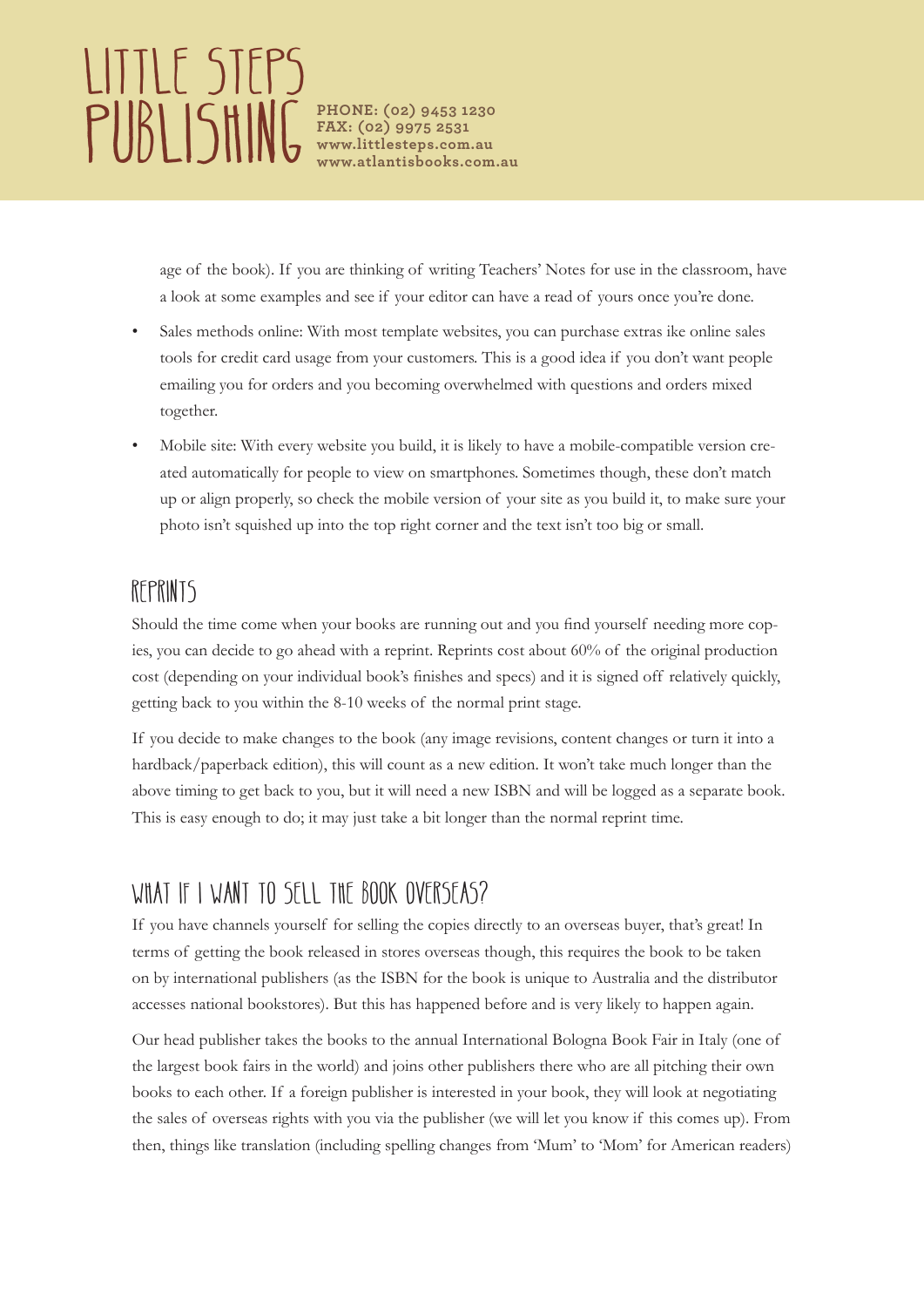# LIITLE STEPS **PUBLISHING** PHONE: (02) 9453 1230

**FAX: (02) 9975 2531 www.littlesteps.com.au www.atlantisbooks.com.au**

age of the book). If you are thinking of writing Teachers' Notes for use in the classroom, have a look at some examples and see if your editor can have a read of yours once you're done.

- Sales methods online: With most template websites, you can purchase extras ike online sales tools for credit card usage from your customers. This is a good idea if you don't want people emailing you for orders and you becoming overwhelmed with questions and orders mixed together.
- Mobile site: With every website you build, it is likely to have a mobile-compatible version created automatically for people to view on smartphones. Sometimes though, these don't match up or align properly, so check the mobile version of your site as you build it, to make sure your photo isn't squished up into the top right corner and the text isn't too big or small.

#### REPRINTS

Should the time come when your books are running out and you find yourself needing more copies, you can decide to go ahead with a reprint. Reprints cost about 60% of the original production cost (depending on your individual book's finishes and specs) and it is signed off relatively quickly, getting back to you within the 8-10 weeks of the normal print stage.

If you decide to make changes to the book (any image revisions, content changes or turn it into a hardback/paperback edition), this will count as a new edition. It won't take much longer than the above timing to get back to you, but it will need a new ISBN and will be logged as a separate book. This is easy enough to do; it may just take a bit longer than the normal reprint time.

## WHAT IF I WANT TO SELL THE BOOK OVERSEAS?

If you have channels yourself for selling the copies directly to an overseas buyer, that's great! In terms of getting the book released in stores overseas though, this requires the book to be taken on by international publishers (as the ISBN for the book is unique to Australia and the distributor accesses national bookstores). But this has happened before and is very likely to happen again.

Our head publisher takes the books to the annual International Bologna Book Fair in Italy (one of the largest book fairs in the world) and joins other publishers there who are all pitching their own books to each other. If a foreign publisher is interested in your book, they will look at negotiating the sales of overseas rights with you via the publisher (we will let you know if this comes up). From then, things like translation (including spelling changes from 'Mum' to 'Mom' for American readers)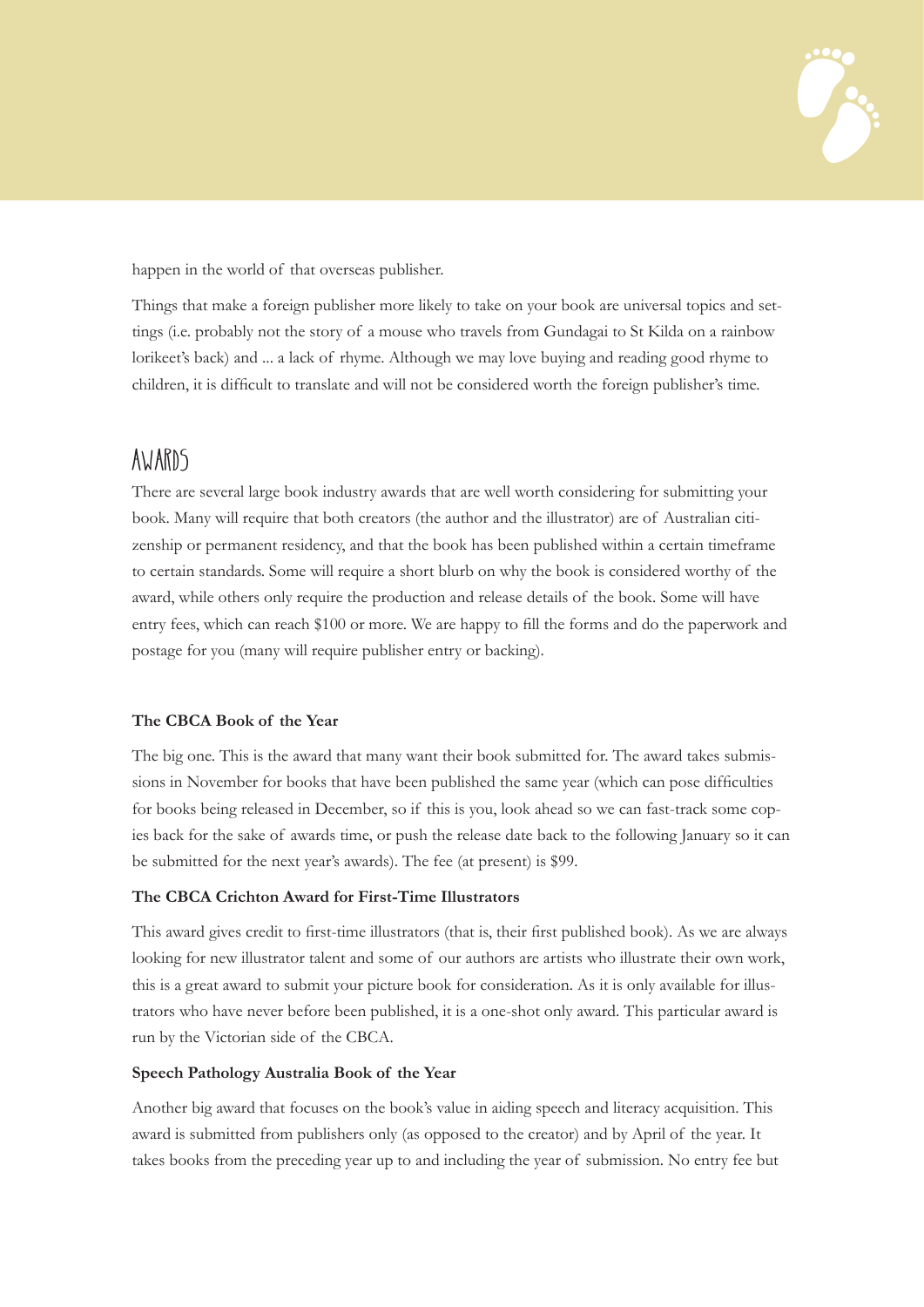

happen in the world of that overseas publisher.

Things that make a foreign publisher more likely to take on your book are universal topics and settings (i.e. probably not the story of a mouse who travels from Gundagai to St Kilda on a rainbow lorikeet's back) and ... a lack of rhyme. Although we may love buying and reading good rhyme to children, it is difficult to translate and will not be considered worth the foreign publisher's time.

#### AWARDS

There are several large book industry awards that are well worth considering for submitting your book. Many will require that both creators (the author and the illustrator) are of Australian citizenship or permanent residency, and that the book has been published within a certain timeframe to certain standards. Some will require a short blurb on why the book is considered worthy of the award, while others only require the production and release details of the book. Some will have entry fees, which can reach \$100 or more. We are happy to fill the forms and do the paperwork and postage for you (many will require publisher entry or backing).

#### **The CBCA Book of the Year**

The big one. This is the award that many want their book submitted for. The award takes submissions in November for books that have been published the same year (which can pose difficulties for books being released in December, so if this is you, look ahead so we can fast-track some copies back for the sake of awards time, or push the release date back to the following January so it can be submitted for the next year's awards). The fee (at present) is \$99.

#### **The CBCA Crichton Award for First-Time Illustrators**

This award gives credit to first-time illustrators (that is, their first published book). As we are always looking for new illustrator talent and some of our authors are artists who illustrate their own work, this is a great award to submit your picture book for consideration. As it is only available for illustrators who have never before been published, it is a one-shot only award. This particular award is run by the Victorian side of the CBCA.

#### **Speech Pathology Australia Book of the Year**

Another big award that focuses on the book's value in aiding speech and literacy acquisition. This award is submitted from publishers only (as opposed to the creator) and by April of the year. It takes books from the preceding year up to and including the year of submission. No entry fee but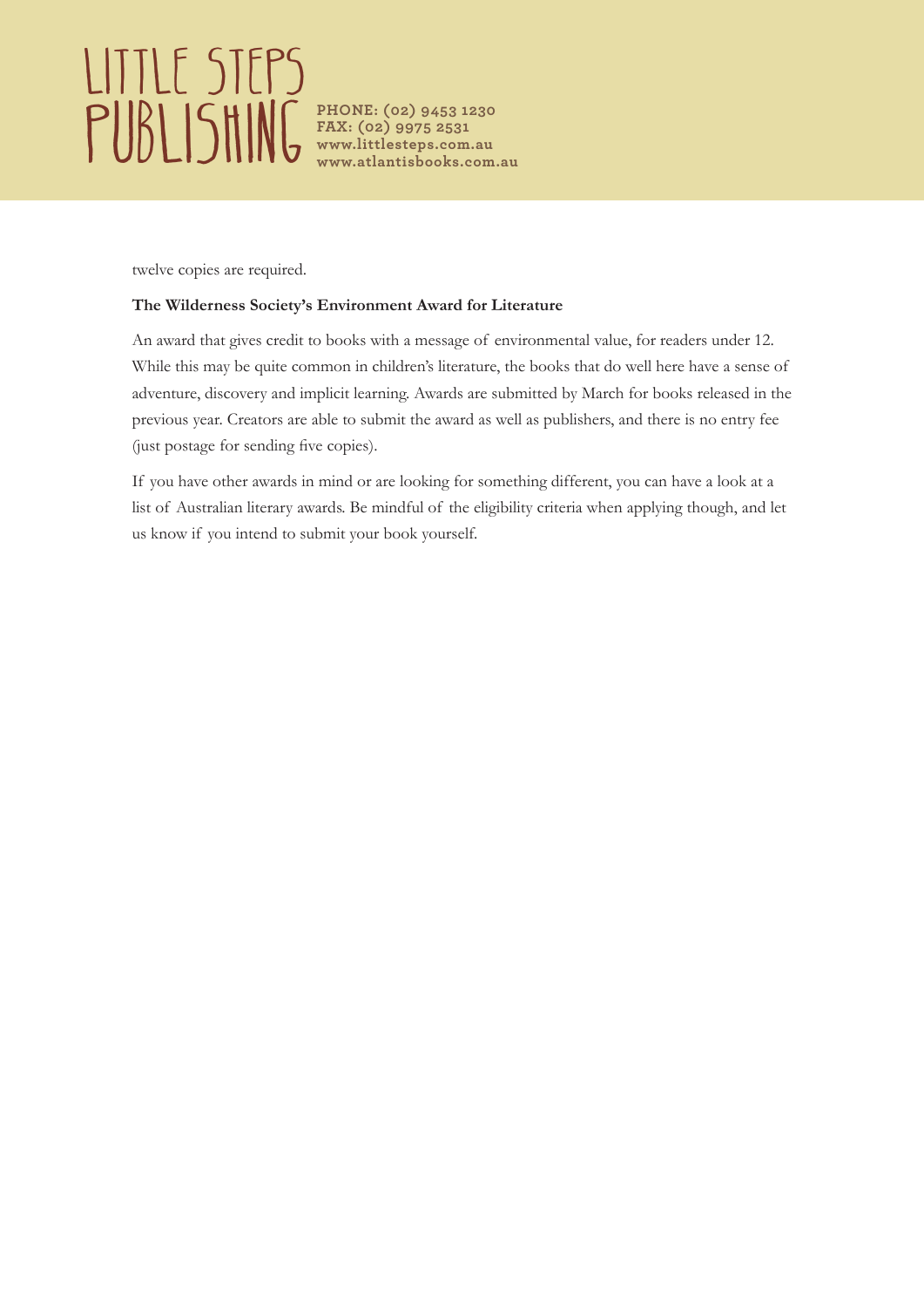# Little Steps **PUBLISHING** PHONE: (02) 9453 1230

**FAX: (02) 9975 2531 www.littlesteps.com.au www.atlantisbooks.com.au**

twelve copies are required.

#### **The Wilderness Society's Environment Award for Literature**

An award that gives credit to books with a message of environmental value, for readers under 12. While this may be quite common in children's literature, the books that do well here have a sense of adventure, discovery and implicit learning. Awards are submitted by March for books released in the previous year. Creators are able to submit the award as well as publishers, and there is no entry fee (just postage for sending five copies).

If you have other awards in mind or are looking for something different, you can have a look at a list of Australian literary awards. Be mindful of the eligibility criteria when applying though, and let us know if you intend to submit your book yourself.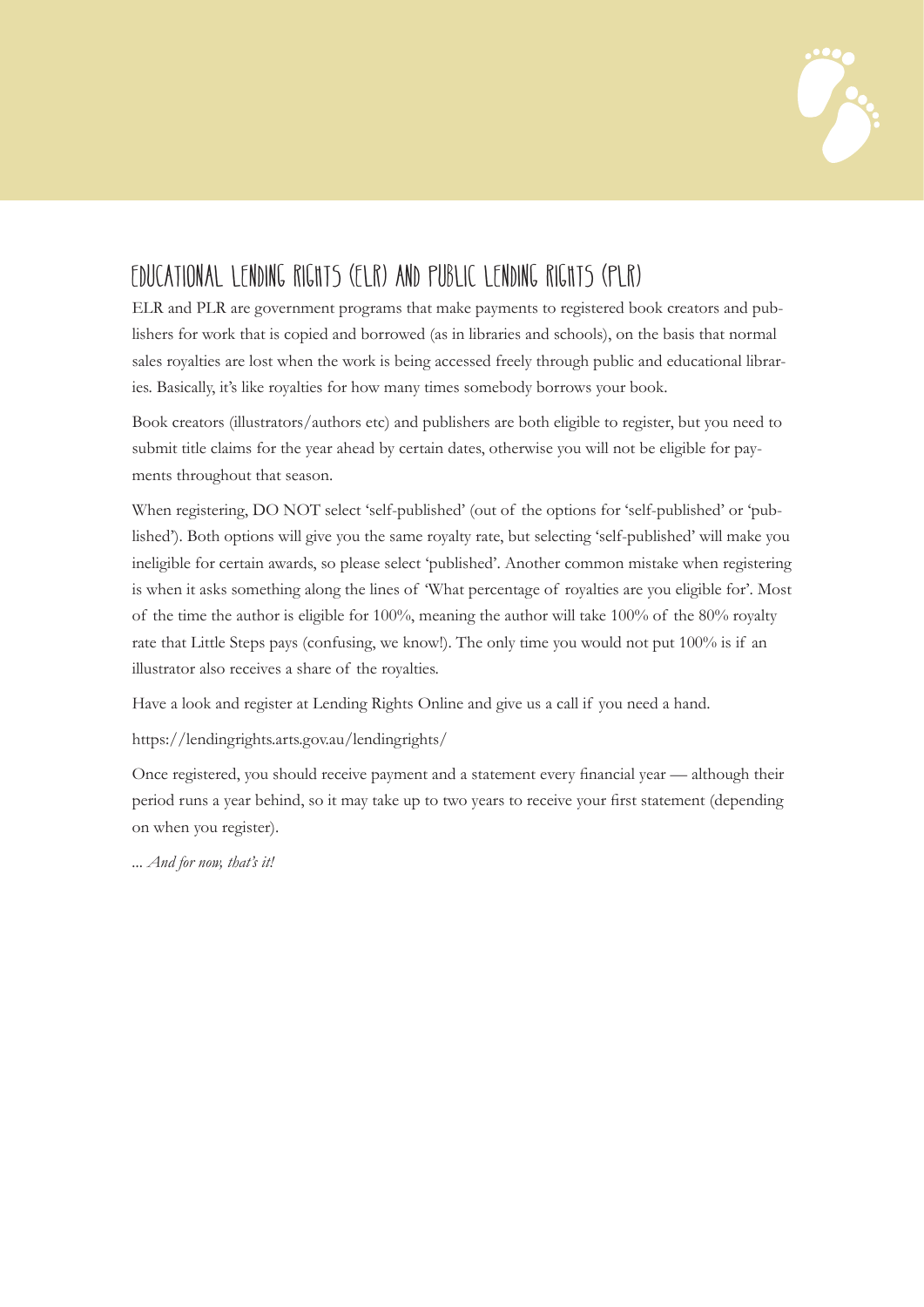

### EDUCATIONAL LENDING RIGHTS (ELR) AND PUBLIC LENDING RIGHTS (PLR)

ELR and PLR are government programs that make payments to registered book creators and publishers for work that is copied and borrowed (as in libraries and schools), on the basis that normal sales royalties are lost when the work is being accessed freely through public and educational libraries. Basically, it's like royalties for how many times somebody borrows your book.

Book creators (illustrators/authors etc) and publishers are both eligible to register, but you need to submit title claims for the year ahead by certain dates, otherwise you will not be eligible for payments throughout that season.

When registering, DO NOT select 'self-published' (out of the options for 'self-published' or 'published'). Both options will give you the same royalty rate, but selecting 'self-published' will make you ineligible for certain awards, so please select 'published'. Another common mistake when registering is when it asks something along the lines of 'What percentage of royalties are you eligible for'. Most of the time the author is eligible for 100%, meaning the author will take 100% of the 80% royalty rate that Little Steps pays (confusing, we know!). The only time you would not put 100% is if an illustrator also receives a share of the royalties.

Have a look and register at Lending Rights Online and give us a call if you need a hand.

https://lendingrights.arts.gov.au/lendingrights/

Once registered, you should receive payment and a statement every financial year — although their period runs a year behind, so it may take up to two years to receive your first statement (depending on when you register).

*... And for now, that's it!*